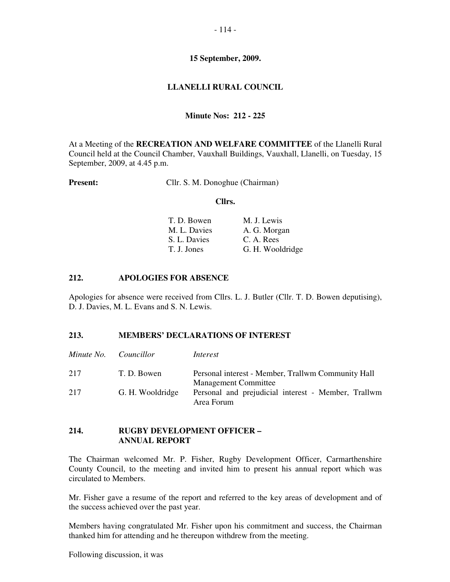#### - 114 -

#### **15 September, 2009.**

### **LLANELLI RURAL COUNCIL**

### **Minute Nos: 212 - 225**

At a Meeting of the **RECREATION AND WELFARE COMMITTEE** of the Llanelli Rural Council held at the Council Chamber, Vauxhall Buildings, Vauxhall, Llanelli, on Tuesday, 15 September, 2009, at 4.45 p.m.

#### **Present:** Cllr. S. M. Donoghue (Chairman)

### **Cllrs.**

| T. D. Bowen  | M. J. Lewis      |
|--------------|------------------|
| M. L. Davies | A. G. Morgan     |
| S. L. Davies | C. A. Rees       |
| T. J. Jones  | G. H. Wooldridge |

### **212. APOLOGIES FOR ABSENCE**

Apologies for absence were received from Cllrs. L. J. Butler (Cllr. T. D. Bowen deputising), D. J. Davies, M. L. Evans and S. N. Lewis.

#### **213. MEMBERS' DECLARATIONS OF INTEREST**

|     | Minute No. Councillor | Interest                                                                          |
|-----|-----------------------|-----------------------------------------------------------------------------------|
| 217 | T. D. Bowen           | Personal interest - Member, Trallwm Community Hall<br><b>Management Committee</b> |
| 217 | G. H. Wooldridge      | Personal and prejudicial interest - Member, Trallwm<br>Area Forum                 |

#### **214. RUGBY DEVELOPMENT OFFICER – ANNUAL REPORT**

The Chairman welcomed Mr. P. Fisher, Rugby Development Officer, Carmarthenshire County Council, to the meeting and invited him to present his annual report which was circulated to Members.

Mr. Fisher gave a resume of the report and referred to the key areas of development and of the success achieved over the past year.

Members having congratulated Mr. Fisher upon his commitment and success, the Chairman thanked him for attending and he thereupon withdrew from the meeting.

Following discussion, it was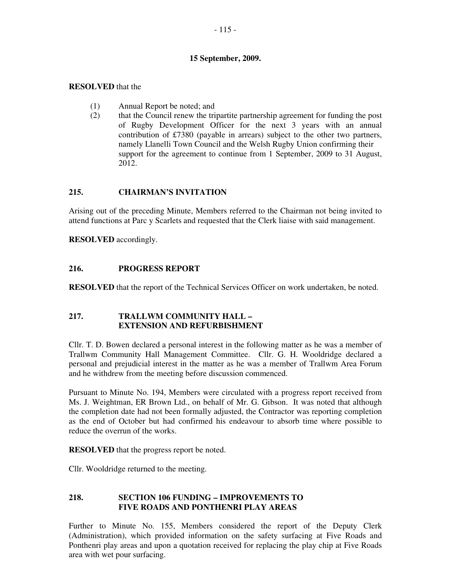### - 115 -

### **15 September, 2009.**

### **RESOLVED** that the

- (1) Annual Report be noted; and
- (2) that the Council renew the tripartite partnership agreement for funding the post of Rugby Development Officer for the next 3 years with an annual contribution of £7380 (payable in arrears) subject to the other two partners, namely Llanelli Town Council and the Welsh Rugby Union confirming their support for the agreement to continue from 1 September, 2009 to 31 August, 2012.

# **215. CHAIRMAN'S INVITATION**

Arising out of the preceding Minute, Members referred to the Chairman not being invited to attend functions at Parc y Scarlets and requested that the Clerk liaise with said management.

**RESOLVED** accordingly.

# **216. PROGRESS REPORT**

**RESOLVED** that the report of the Technical Services Officer on work undertaken, be noted.

# **217. TRALLWM COMMUNITY HALL – EXTENSION AND REFURBISHMENT**

Cllr. T. D. Bowen declared a personal interest in the following matter as he was a member of Trallwm Community Hall Management Committee. Cllr. G. H. Wooldridge declared a personal and prejudicial interest in the matter as he was a member of Trallwm Area Forum and he withdrew from the meeting before discussion commenced.

Pursuant to Minute No. 194, Members were circulated with a progress report received from Ms. J. Weightman, ER Brown Ltd., on behalf of Mr. G. Gibson. It was noted that although the completion date had not been formally adjusted, the Contractor was reporting completion as the end of October but had confirmed his endeavour to absorb time where possible to reduce the overrun of the works.

**RESOLVED** that the progress report be noted.

Cllr. Wooldridge returned to the meeting.

### **218. SECTION 106 FUNDING – IMPROVEMENTS TO FIVE ROADS AND PONTHENRI PLAY AREAS**

Further to Minute No. 155, Members considered the report of the Deputy Clerk (Administration), which provided information on the safety surfacing at Five Roads and Ponthenri play areas and upon a quotation received for replacing the play chip at Five Roads area with wet pour surfacing.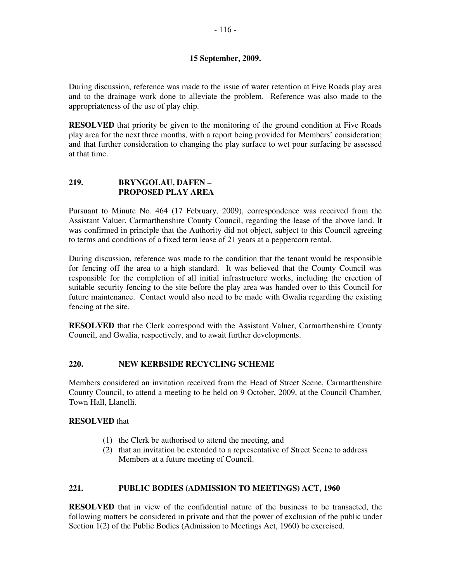### **15 September, 2009.**

During discussion, reference was made to the issue of water retention at Five Roads play area and to the drainage work done to alleviate the problem. Reference was also made to the appropriateness of the use of play chip.

**RESOLVED** that priority be given to the monitoring of the ground condition at Five Roads play area for the next three months, with a report being provided for Members' consideration; and that further consideration to changing the play surface to wet pour surfacing be assessed at that time.

# **219. BRYNGOLAU, DAFEN – PROPOSED PLAY AREA**

Pursuant to Minute No. 464 (17 February, 2009), correspondence was received from the Assistant Valuer, Carmarthenshire County Council, regarding the lease of the above land. It was confirmed in principle that the Authority did not object, subject to this Council agreeing to terms and conditions of a fixed term lease of 21 years at a peppercorn rental.

During discussion, reference was made to the condition that the tenant would be responsible for fencing off the area to a high standard. It was believed that the County Council was responsible for the completion of all initial infrastructure works, including the erection of suitable security fencing to the site before the play area was handed over to this Council for future maintenance. Contact would also need to be made with Gwalia regarding the existing fencing at the site.

**RESOLVED** that the Clerk correspond with the Assistant Valuer, Carmarthenshire County Council, and Gwalia, respectively, and to await further developments.

# **220. NEW KERBSIDE RECYCLING SCHEME**

Members considered an invitation received from the Head of Street Scene, Carmarthenshire County Council, to attend a meeting to be held on 9 October, 2009, at the Council Chamber, Town Hall, Llanelli.

### **RESOLVED** that

- (1) the Clerk be authorised to attend the meeting, and
- (2) that an invitation be extended to a representative of Street Scene to address Members at a future meeting of Council.

# **221. PUBLIC BODIES (ADMISSION TO MEETINGS) ACT, 1960**

**RESOLVED** that in view of the confidential nature of the business to be transacted, the following matters be considered in private and that the power of exclusion of the public under Section 1(2) of the Public Bodies (Admission to Meetings Act, 1960) be exercised.